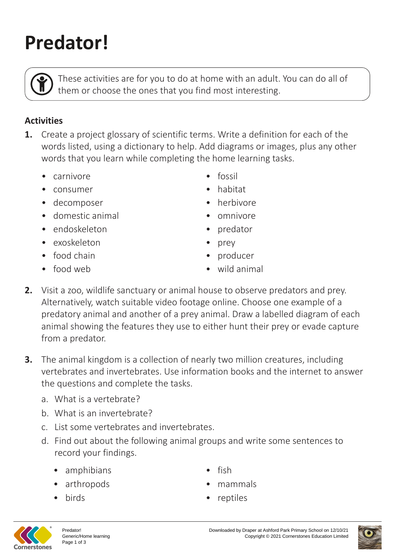# **Predator!**

These activities are for you to do at home with an adult. You can do all of them or choose the ones that you find most interesting.

## **Activities**

- **1.** Create a project glossary of scientific terms. Write a definition for each of the words listed, using a dictionary to help. Add diagrams or images, plus any other words that you learn while completing the home learning tasks.
	- carnivore
	- consumer
	- decomposer
	- domestic animal
	- endoskeleton
	- exoskeleton
	- food chain
	- food web
- fossil
- habitat
- herbivore
- omnivore
- predator
- prey
- producer
- wild animal
- **2.** Visit a zoo, wildlife sanctuary or animal house to observe predators and prey. Alternatively, watch suitable video footage online. Choose one example of a predatory animal and another of a prey animal. Draw a labelled diagram of each animal showing the features they use to either hunt their prey or evade capture from a predator.
- **3.** The animal kingdom is a collection of nearly two million creatures, including vertebrates and invertebrates. Use information books and the internet to answer the questions and complete the tasks.
	- a. What is a vertebrate?
	- b. What is an invertebrate?
	- c. List some vertebrates and invertebrates.
	- d. Find out about the following animal groups and write some sentences to record your findings.
		- amphibians
		- arthropods
		- birds
- fish
- mammals
- reptiles



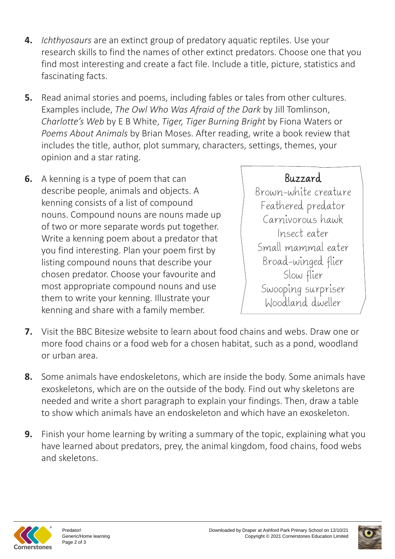- **4.** *Ichthyosaurs* are an extinct group of predatory aquatic reptiles. Use your research skills to find the names of other extinct predators. Choose one that you find most interesting and create a fact file. Include a title, picture, statistics and fascinating facts.
- **5.** Read animal stories and poems, including fables or tales from other cultures. Examples include, *The Owl Who Was Afraid of the Dark* by Jill Tomlinson, *Charlotte's Web* by E B White, *Tiger, Tiger Burning Bright* by Fiona Waters or *Poems About Animals* by Brian Moses. After reading, write a book review that includes the title, author, plot summary, characters, settings, themes, your opinion and a star rating.
- **6.** A kenning is a type of poem that can describe people, animals and objects. A kenning consists of a list of compound nouns. Compound nouns are nouns made up of two or more separate words put together. Write a kenning poem about a predator that you find interesting. Plan your poem first by listing compound nouns that describe your chosen predator. Choose your favourite and most appropriate compound nouns and use them to write your kenning. Illustrate your kenning and share with a family member.

## Buzzard

Brown-white creature Feathered predator Carnivorous hawk Insect eater Small mammal eater Broad-winged flier Slow flier Swooping surpriser Woodland dweller

- **7.** Visit the BBC Bitesize website to learn about food chains and webs. Draw one or more food chains or a food web for a chosen habitat, such as a pond, woodland or urban area.
- **8.** Some animals have endoskeletons, which are inside the body. Some animals have exoskeletons, which are on the outside of the body. Find out why skeletons are needed and write a short paragraph to explain your findings. Then, draw a table to show which animals have an endoskeleton and which have an exoskeleton.
- **9.** Finish your home learning by writing a summary of the topic, explaining what you have learned about predators, prey, the animal kingdom, food chains, food webs and skeletons.